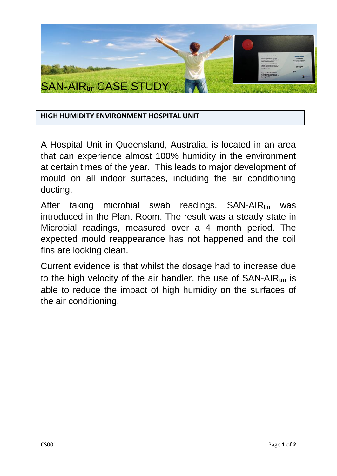

## **HIGH HUMIDITY ENVIRONMENT HOSPITAL UNIT**

A Hospital Unit in Queensland, Australia, is located in an area that can experience almost 100% humidity in the environment at certain times of the year. This leads to major development of mould on all indoor surfaces, including the air conditioning ducting.

After taking microbial swab readings, SAN-AIRtm was introduced in the Plant Room. The result was a steady state in Microbial readings, measured over a 4 month period. The expected mould reappearance has not happened and the coil fins are looking clean.

Current evidence is that whilst the dosage had to increase due to the high velocity of the air handler, the use of  $SAN-AIR_{tm}$  is able to reduce the impact of high humidity on the surfaces of the air conditioning.